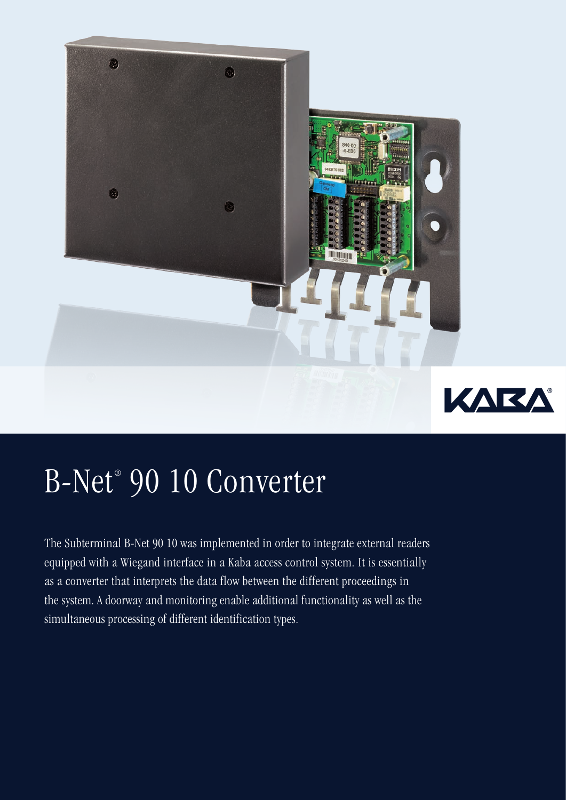

## B-Net® 90 10 Converter

The Subterminal B-Net 90 10 was implemented in order to integrate external readers equipped with a Wiegand interface in a Kaba access control system. It is essentially as a converter that interprets the data flow between the different proceedings in the system. A doorway and monitoring enable additional functionality as well as the simultaneous processing of different identification types.